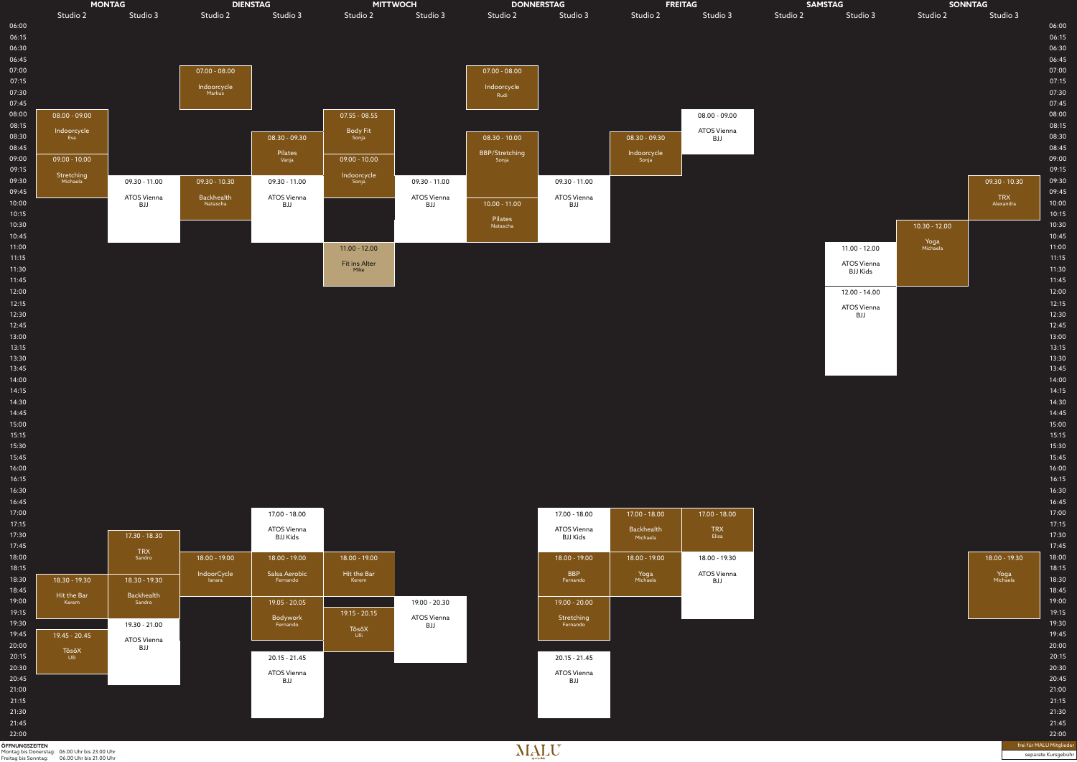

|                                                                                             |                      | <b>FREITAG</b> | <b>DAMSIAG</b>       |                  | <b>SUNNIAG</b>   |                |
|---------------------------------------------------------------------------------------------|----------------------|----------------|----------------------|------------------|------------------|----------------|
| lio 3                                                                                       | Studio 2             | Studio 3       | Studio 2<br>Studio 3 | Studio 2         | Studio 3         |                |
|                                                                                             |                      |                |                      |                  |                  | 06:00          |
|                                                                                             |                      |                |                      |                  |                  | 06:15<br>06:30 |
|                                                                                             |                      |                |                      |                  |                  | 06:45          |
|                                                                                             |                      |                |                      |                  |                  | 07:00          |
|                                                                                             |                      |                |                      |                  |                  | 07:15          |
|                                                                                             |                      |                |                      |                  |                  | 07:30          |
|                                                                                             |                      |                |                      |                  |                  | 07:45          |
|                                                                                             |                      | 08.00 - 09.00  |                      |                  |                  | 08:00          |
|                                                                                             |                      | ATOS Vienna    |                      |                  |                  | 08:15<br>08:30 |
|                                                                                             | 08.30 - 09.30        | BJJ            |                      |                  |                  | 08:45          |
|                                                                                             | Indoorcycle<br>Sonja |                |                      |                  |                  | 09:00          |
|                                                                                             |                      |                |                      |                  |                  | 09:15          |
| $-11.00$                                                                                    |                      |                |                      |                  | 09.30 - 10.30    | 09:30          |
| /ienna                                                                                      |                      |                |                      |                  | <b>TRX</b>       | 09:45          |
| IJ                                                                                          |                      |                |                      |                  | Alexandra        | 10:00          |
|                                                                                             |                      |                |                      |                  |                  | 10:15          |
|                                                                                             |                      |                |                      | $10.30 - 12.00$  |                  | 10:30<br>10:45 |
|                                                                                             |                      |                | $11.00 - 12.00$      | Yoga<br>Michaela |                  | 11:00          |
|                                                                                             |                      |                | ATOS Vienna          |                  |                  | 11:15          |
|                                                                                             |                      |                | <b>BJJ Kids</b>      |                  |                  | 11:30<br>11:45 |
|                                                                                             |                      |                | 12.00 - 14.00        |                  |                  | 12:00          |
|                                                                                             |                      |                | ATOS Vienna          |                  |                  | 12:15          |
|                                                                                             |                      |                | BJJ                  |                  |                  | 12:30<br>12:45 |
|                                                                                             |                      |                |                      |                  |                  | 13:00          |
|                                                                                             |                      |                |                      |                  |                  | 13:15          |
|                                                                                             |                      |                |                      |                  |                  | 13:30          |
|                                                                                             |                      |                |                      |                  |                  | 13:45          |
|                                                                                             |                      |                |                      |                  |                  | 14:00          |
|                                                                                             |                      |                |                      |                  |                  | 14:15<br>14:30 |
|                                                                                             |                      |                |                      |                  |                  | 14:45          |
|                                                                                             |                      |                |                      |                  |                  | 15:00          |
|                                                                                             |                      |                |                      |                  |                  | 15:15          |
|                                                                                             |                      |                |                      |                  |                  | 15:30          |
|                                                                                             |                      |                |                      |                  |                  | 15:45          |
|                                                                                             |                      |                |                      |                  |                  | 16:00          |
|                                                                                             |                      |                |                      |                  |                  | 16:15<br>16:30 |
|                                                                                             |                      |                |                      |                  |                  | 16:45          |
| 18.00                                                                                       | 17.00 - 18.00        | 17.00 - 18.00  |                      |                  |                  | 17:00          |
| /ienna                                                                                      | <b>Backhealth</b>    | <b>TRX</b>     |                      |                  |                  | 17:15          |
| <ids< td=""><td>Michaela</td><td>Elisa</td><td></td><td></td><td></td><td>17:30</td></ids<> | Michaela             | Elisa          |                      |                  |                  | 17:30          |
|                                                                                             |                      |                |                      |                  |                  | 17:45          |
| $-19.00$                                                                                    | 18.00 - 19.00        | 18.00 - 19.30  |                      |                  | 18.00 - 19.30    | 18:00<br>18:15 |
| BP.<br>ando                                                                                 | Yoga<br>Michaela     | ATOS Vienna    |                      |                  | Yoga<br>Michaela | 18:30          |
|                                                                                             |                      | BJJ            |                      |                  |                  | 18:45          |
| 20.00                                                                                       |                      |                |                      |                  |                  | 19:00          |
|                                                                                             |                      |                |                      |                  |                  | 19:15          |
| c <mark>hing</mark><br>ando                                                                 |                      |                |                      |                  |                  | 19:30          |
|                                                                                             |                      |                |                      |                  |                  | 19:45          |
|                                                                                             |                      |                |                      |                  |                  | 20:00<br>20:15 |
| 21.45                                                                                       |                      |                |                      |                  |                  | 20:30          |
| /ienna<br>IJ                                                                                |                      |                |                      |                  |                  | 20:45          |
|                                                                                             |                      |                |                      |                  |                  | 21:00          |
|                                                                                             |                      |                |                      |                  |                  | 21:15          |
|                                                                                             |                      |                |                      |                  |                  | 21:30          |
|                                                                                             |                      |                |                      |                  |                  | 21:45          |
|                                                                                             |                      |                |                      |                  |                  | 22:00          |

**ÖFFNUNGSZEITEN** Montag bis Donerstag: 06.00 Uhr bis 23.00 Uhr Freitag bis Sonntag: 06.00 Uhr bis 21.00 Uhr  $\prod_{\text{sportedub}}$ 

frei für MALU Mitglieder

separate Kursgebühr